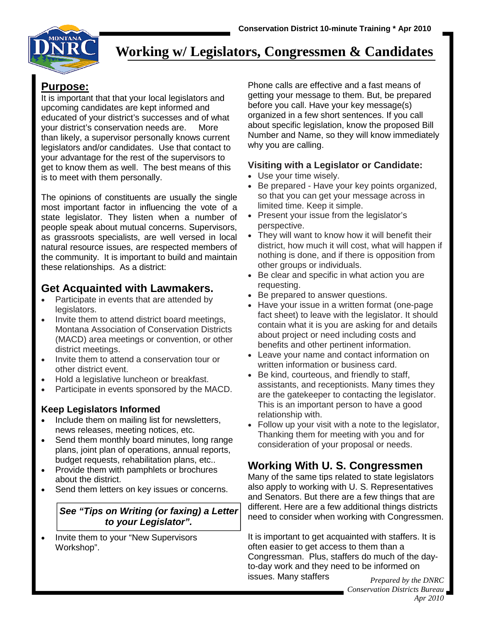

# **Working w/ Legislators, Congressmen & Candidates**

**Purpose:**<br>It is important that that your local legislators and upcoming candidates are kept informed and educated of your district's successes and of what your district's conservation needs are. More than likely, a supervisor personally knows current legislators and/or candidates. Use that contact to your advantage for the rest of the supervisors to get to know them as well. The best means of this is to meet with them personally.

The opinions of constituents are usually the single most important factor in influencing the vote of a state legislator. They listen when a number of people speak about mutual concerns. Supervisors, as grassroots specialists, are well versed in local natural resource issues, are respected members of the community. It is important to build and maintain these relationships. As a district:

## **Get Acquainted with Lawmakers.**

- Participate in events that are attended by legislators.
- Invite them to attend district board meetings, Montana Association of Conservation Districts (MACD) area meetings or convention, or other district meetings.
- Invite them to attend a conservation tour or other district event.
- Hold a legislative luncheon or breakfast.
- Participate in events sponsored by the MACD.

#### **Keep Legislators Informed**

- Include them on mailing list for newsletters, news releases, meeting notices, etc.
- Send them monthly board minutes, long range plans, joint plan of operations, annual reports, budget requests, rehabilitation plans, etc..
- Provide them with pamphlets or brochures about the district.
- Send them letters on key issues or concerns.

#### *See "Tips on Writing (or faxing) a Letter to your Legislator".*

• Invite them to your "New Supervisors Workshop".

Phone calls are effective and a fast means of getting your message to them. But, be prepared before you call. Have your key message(s) organized in a few short sentences. If you call about specific legislation, know the proposed Bill Number and Name, so they will know immediately why you are calling.

#### **Visiting with a Legislator or Candidate:**

- Use your time wisely.
- Be prepared Have your key points organized, so that you can get your message across in limited time. Keep it simple.
- Present your issue from the legislator's perspective.
- They will want to know how it will benefit their district, how much it will cost, what will happen if nothing is done, and if there is opposition from other groups or individuals.
- Be clear and specific in what action you are requesting.
- Be prepared to answer questions.
- Have your issue in a written format (one-page fact sheet) to leave with the legislator. It should contain what it is you are asking for and details about project or need including costs and benefits and other pertinent information.
- Leave your name and contact information on written information or business card.
- Be kind, courteous, and friendly to staff, assistants, and receptionists. Many times they are the gatekeeper to contacting the legislator. This is an important person to have a good relationship with.
- Follow up your visit with a note to the legislator, Thanking them for meeting with you and for consideration of your proposal or needs.

# **Working With U. S. Congressmen**

Many of the same tips related to state legislators also apply to working with U. S. Representatives and Senators. But there are a few things that are different. Here are a few additional things districts need to consider when working with Congressmen.

It is important to get acquainted with staffers. It is often easier to get access to them than a Congressman. Plus, staffers do much of the dayto-day work and they need to be informed on issues. Many staffers *Prepared by the DNRC* 

*Conservation Districts Bureau Apr 2010*